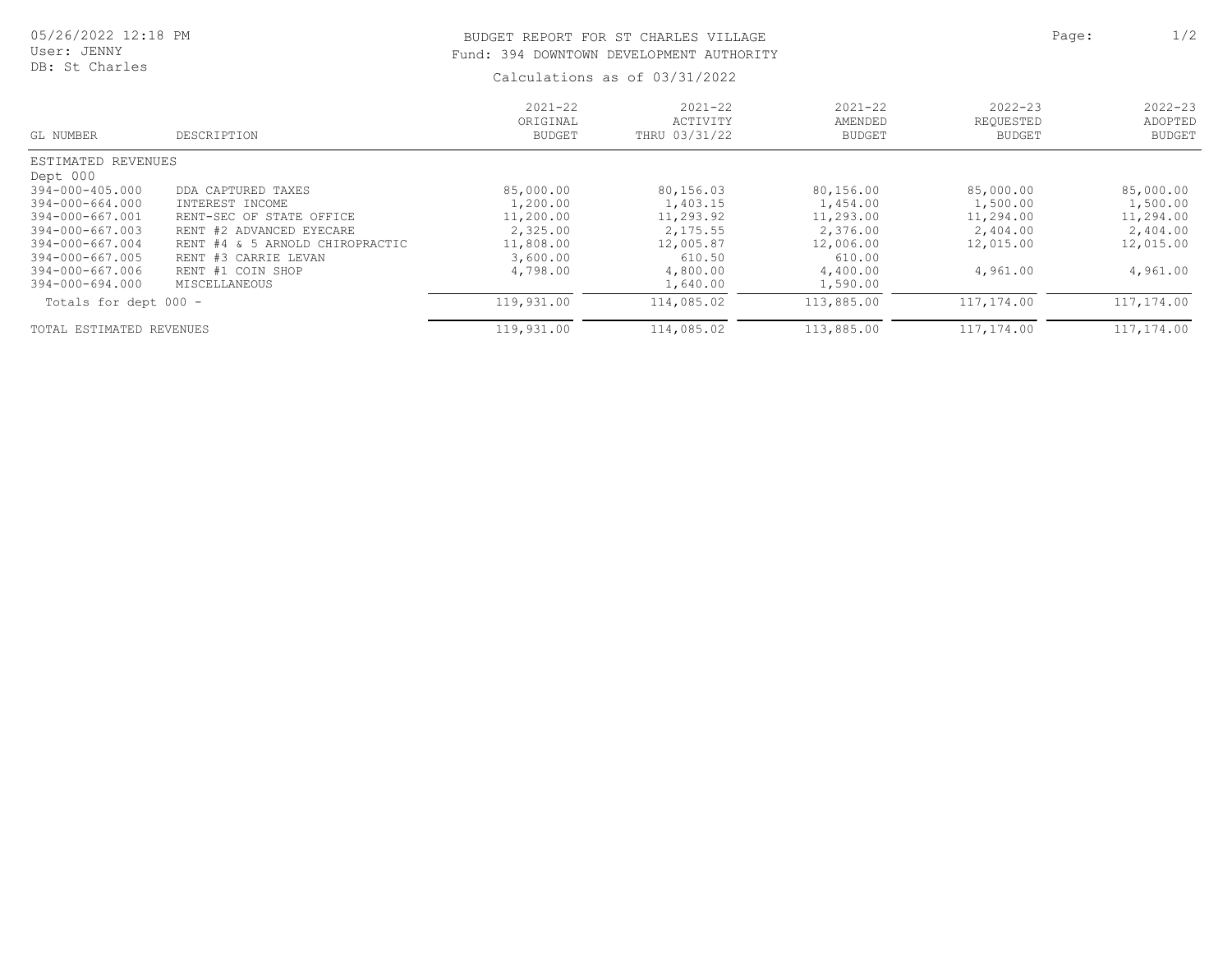## BUDGET REPORT FOR ST CHARLES VILLAGE **Page:** 2/2 Fund: 394 DOWNTOWN DEVELOPMENT AUTHORITY

Calculations as of 03/31/2022

| GL NUMBER                | DESCRIPTION                     | $2021 - 22$<br>ORIGINAL<br><b>BUDGET</b> | $2021 - 22$<br>ACTIVITY<br>THRU 03/31/22 | $2021 - 22$<br>AMENDED<br><b>BUDGET</b> | $2022 - 23$<br>REOUESTED<br><b>BUDGET</b> | $2022 - 23$<br>ADOPTED<br><b>BUDGET</b> |
|--------------------------|---------------------------------|------------------------------------------|------------------------------------------|-----------------------------------------|-------------------------------------------|-----------------------------------------|
| ESTIMATED REVENUES       |                                 |                                          |                                          |                                         |                                           |                                         |
| Dept 000                 |                                 |                                          |                                          |                                         |                                           |                                         |
| 394-000-405.000          | DDA CAPTURED TAXES              | 85,000.00                                | 80,156.03                                | 80,156.00                               | 85,000.00                                 | 85,000.00                               |
| 394-000-664.000          | INTEREST INCOME                 | 1,200.00                                 | 1,403.15                                 | 1,454.00                                | 1,500.00                                  | 1,500.00                                |
| 394-000-667.001          | RENT-SEC OF STATE OFFICE        | 11,200.00                                | 11,293.92                                | 11,293.00                               | 11,294.00                                 | 11,294.00                               |
| 394-000-667.003          | RENT #2 ADVANCED EYECARE        | 2,325.00                                 | 2, 175.55                                | 2,376.00                                | 2,404.00                                  | 2,404.00                                |
| 394-000-667.004          | RENT #4 & 5 ARNOLD CHIROPRACTIC | 11,808.00                                | 12,005.87                                | 12,006.00                               | 12,015.00                                 | 12,015.00                               |
| 394-000-667.005          | RENT #3 CARRIE LEVAN            | 3,600.00                                 | 610.50                                   | 610.00                                  |                                           |                                         |
| 394-000-667.006          | RENT #1 COIN SHOP               | 4,798.00                                 | 4,800.00                                 | 4,400.00                                | 4,961.00                                  | 4,961.00                                |
| 394-000-694.000          | MISCELLANEOUS                   |                                          | 1,640.00                                 | 1,590.00                                |                                           |                                         |
| Totals for dept 000 -    |                                 | 119,931.00                               | 114,085.02                               | 113,885.00                              | 117,174.00                                | 117,174.00                              |
| TOTAL ESTIMATED REVENUES |                                 | 119,931.00                               | 114,085.02                               | 113,885.00                              | 117,174.00                                | 117,174.00                              |